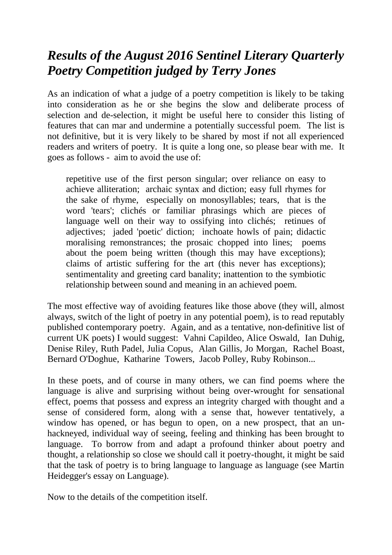# *Results of the August 2016 Sentinel Literary Quarterly Poetry Competition judged by Terry Jones*

As an indication of what a judge of a poetry competition is likely to be taking into consideration as he or she begins the slow and deliberate process of selection and de-selection, it might be useful here to consider this listing of features that can mar and undermine a potentially successful poem. The list is not definitive, but it is very likely to be shared by most if not all experienced readers and writers of poetry. It is quite a long one, so please bear with me. It goes as follows - aim to avoid the use of:

repetitive use of the first person singular; over reliance on easy to achieve alliteration; archaic syntax and diction; easy full rhymes for the sake of rhyme, especially on monosyllables; tears, that is the word 'tears'; clichés or familiar phrasings which are pieces of language well on their way to ossifying into clichés; retinues of adjectives; jaded 'poetic' diction; inchoate howls of pain; didactic moralising remonstrances; the prosaic chopped into lines; poems about the poem being written (though this may have exceptions); claims of artistic suffering for the art (this never has exceptions); sentimentality and greeting card banality; inattention to the symbiotic relationship between sound and meaning in an achieved poem.

The most effective way of avoiding features like those above (they will, almost always, switch of the light of poetry in any potential poem), is to read reputably published contemporary poetry. Again, and as a tentative, non-definitive list of current UK poets) I would suggest: Vahni Capildeo, Alice Oswald, Ian Duhig, Denise Riley, Ruth Padel, Julia Copus, Alan Gillis, Jo Morgan, Rachel Boast, Bernard O'Doghue, Katharine Towers, Jacob Polley, Ruby Robinson...

In these poets, and of course in many others, we can find poems where the language is alive and surprising without being over-wrought for sensational effect, poems that possess and express an integrity charged with thought and a sense of considered form, along with a sense that, however tentatively, a window has opened, or has begun to open, on a new prospect, that an unhackneyed, individual way of seeing, feeling and thinking has been brought to language. To borrow from and adapt a profound thinker about poetry and thought, a relationship so close we should call it poetry-thought, it might be said that the task of poetry is to bring language to language as language (see Martin Heidegger's essay on Language).

Now to the details of the competition itself.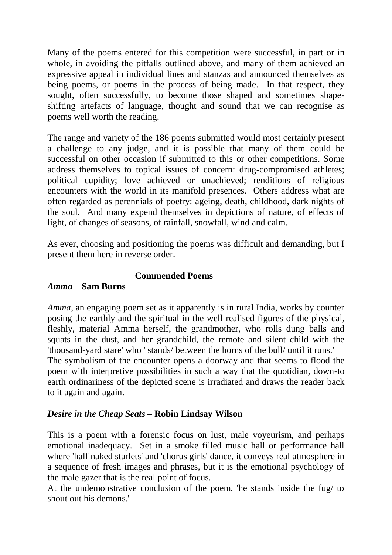Many of the poems entered for this competition were successful, in part or in whole, in avoiding the pitfalls outlined above, and many of them achieved an expressive appeal in individual lines and stanzas and announced themselves as being poems, or poems in the process of being made. In that respect, they sought, often successfully, to become those shaped and sometimes shapeshifting artefacts of language, thought and sound that we can recognise as poems well worth the reading.

The range and variety of the 186 poems submitted would most certainly present a challenge to any judge, and it is possible that many of them could be successful on other occasion if submitted to this or other competitions. Some address themselves to topical issues of concern: drug-compromised athletes; political cupidity; love achieved or unachieved; renditions of religious encounters with the world in its manifold presences. Others address what are often regarded as perennials of poetry: ageing, death, childhood, dark nights of the soul. And many expend themselves in depictions of nature, of effects of light, of changes of seasons, of rainfall, snowfall, wind and calm.

As ever, choosing and positioning the poems was difficult and demanding, but I present them here in reverse order.

## **Commended Poems**

#### *Amma –* **Sam Burns**

to it again and again.

*Amma*, an engaging poem set as it apparently is in rural India, works by counter posing the earthly and the spiritual in the well realised figures of the physical, fleshly, material Amma herself, the grandmother, who rolls dung balls and squats in the dust, and her grandchild, the remote and silent child with the 'thousand-yard stare' who ' stands/ between the horns of the bull/ until it runs.' The symbolism of the encounter opens a doorway and that seems to flood the poem with interpretive possibilities in such a way that the quotidian, down-to earth ordinariness of the depicted scene is irradiated and draws the reader back

#### *Desire in the Cheap Seats –* **Robin Lindsay Wilson**

This is a poem with a forensic focus on lust, male voyeurism, and perhaps emotional inadequacy. Set in a smoke filled music hall or performance hall where 'half naked starlets' and 'chorus girls' dance, it conveys real atmosphere in a sequence of fresh images and phrases, but it is the emotional psychology of the male gazer that is the real point of focus.

At the undemonstrative conclusion of the poem, 'he stands inside the fug/ to shout out his demons.'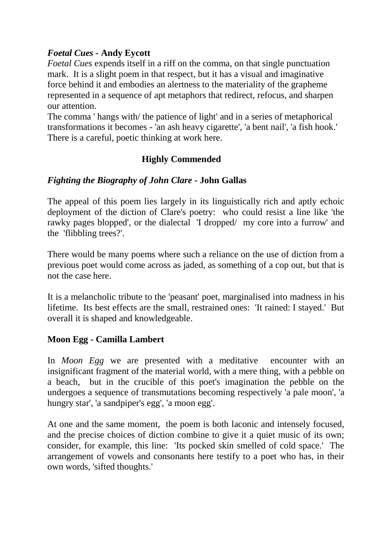# *Foetal Cues -* **Andy Eycott**

*Foetal Cues* expends itself in a riff on the comma, on that single punctuation mark. It is a slight poem in that respect, but it has a visual and imaginative force behind it and embodies an alertness to the materiality of the grapheme represented in a sequence of apt metaphors that redirect, refocus, and sharpen our attention.

The comma ' hangs with/ the patience of light' and in a series of metaphorical transformations it becomes - 'an ash heavy cigarette', 'a bent nail', 'a fish hook.' There is a careful, poetic thinking at work here.

# **Highly Commended**

## *Fighting the Biography of John Clare -* **John Gallas**

The appeal of this poem lies largely in its linguistically rich and aptly echoic deployment of the diction of Clare's poetry: who could resist a line like 'the rawky pages blopped', or the dialectal 'I dropped/ my core into a furrow' and the 'flibbling trees?'.

There would be many poems where such a reliance on the use of diction from a previous poet would come across as jaded, as something of a cop out, but that is not the case here.

It is a melancholic tribute to the 'peasant' poet, marginalised into madness in his lifetime. Its best effects are the small, restrained ones: 'It rained: I stayed.' But overall it is shaped and knowledgeable.

#### **Moon Egg - Camilla Lambert**

In *Moon Egg* we are presented with a meditative encounter with an insignificant fragment of the material world, with a mere thing, with a pebble on a beach, but in the crucible of this poet's imagination the pebble on the undergoes a sequence of transmutations becoming respectively 'a pale moon', 'a hungry star', 'a sandpiper's egg', 'a moon egg'.

At one and the same moment, the poem is both laconic and intensely focused, and the precise choices of diction combine to give it a quiet music of its own; consider, for example, this line: 'Its pocked skin smelled of cold space.' The arrangement of vowels and consonants here testify to a poet who has, in their own words, 'sifted thoughts.'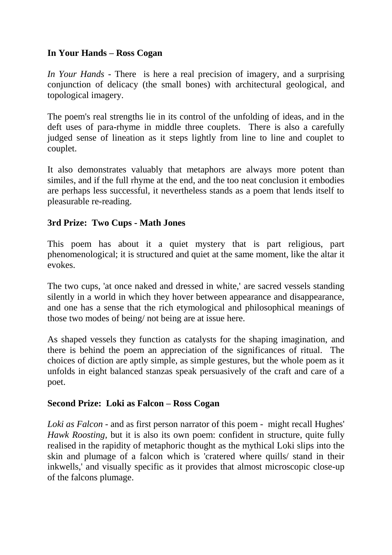# **In Your Hands – Ross Cogan**

*In Your Hands* - There is here a real precision of imagery, and a surprising conjunction of delicacy (the small bones) with architectural geological, and topological imagery.

The poem's real strengths lie in its control of the unfolding of ideas, and in the deft uses of para-rhyme in middle three couplets. There is also a carefully judged sense of lineation as it steps lightly from line to line and couplet to couplet.

It also demonstrates valuably that metaphors are always more potent than similes, and if the full rhyme at the end, and the too neat conclusion it embodies are perhaps less successful, it nevertheless stands as a poem that lends itself to pleasurable re-reading.

## **3rd Prize: Two Cups - Math Jones**

This poem has about it a quiet mystery that is part religious, part phenomenological; it is structured and quiet at the same moment, like the altar it evokes.

The two cups, 'at once naked and dressed in white,' are sacred vessels standing silently in a world in which they hover between appearance and disappearance, and one has a sense that the rich etymological and philosophical meanings of those two modes of being/ not being are at issue here.

As shaped vessels they function as catalysts for the shaping imagination, and there is behind the poem an appreciation of the significances of ritual. The choices of diction are aptly simple, as simple gestures, but the whole poem as it unfolds in eight balanced stanzas speak persuasively of the craft and care of a poet.

#### **Second Prize: Loki as Falcon – Ross Cogan**

*Loki as Falcon* - and as first person narrator of this poem - might recall Hughes' *Hawk Roosting*, but it is also its own poem: confident in structure, quite fully realised in the rapidity of metaphoric thought as the mythical Loki slips into the skin and plumage of a falcon which is 'cratered where quills/ stand in their inkwells,' and visually specific as it provides that almost microscopic close-up of the falcons plumage.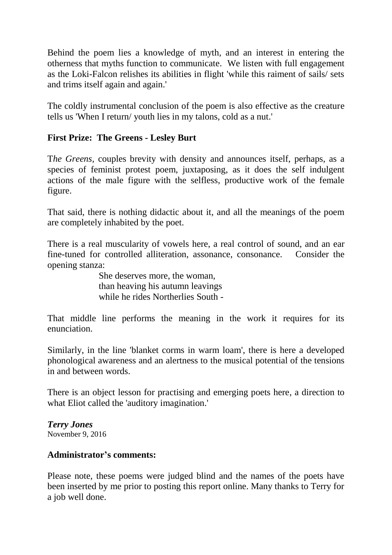Behind the poem lies a knowledge of myth, and an interest in entering the otherness that myths function to communicate. We listen with full engagement as the Loki-Falcon relishes its abilities in flight 'while this raiment of sails/ sets and trims itself again and again.'

The coldly instrumental conclusion of the poem is also effective as the creature tells us 'When I return/ youth lies in my talons, cold as a nut.'

## **First Prize: The Greens - Lesley Burt**

T*he Greens,* couples brevity with density and announces itself, perhaps, as a species of feminist protest poem, juxtaposing, as it does the self indulgent actions of the male figure with the selfless, productive work of the female figure.

That said, there is nothing didactic about it, and all the meanings of the poem are completely inhabited by the poet.

There is a real muscularity of vowels here, a real control of sound, and an ear fine-tuned for controlled alliteration, assonance, consonance. Consider the opening stanza:

> She deserves more, the woman, than heaving his autumn leavings while he rides Northerlies South -

That middle line performs the meaning in the work it requires for its enunciation.

Similarly, in the line 'blanket corms in warm loam', there is here a developed phonological awareness and an alertness to the musical potential of the tensions in and between words.

There is an object lesson for practising and emerging poets here, a direction to what Eliot called the 'auditory imagination.'

*Terry Jones* November 9, 2016

#### **Administrator's comments:**

Please note, these poems were judged blind and the names of the poets have been inserted by me prior to posting this report online. Many thanks to Terry for a job well done.